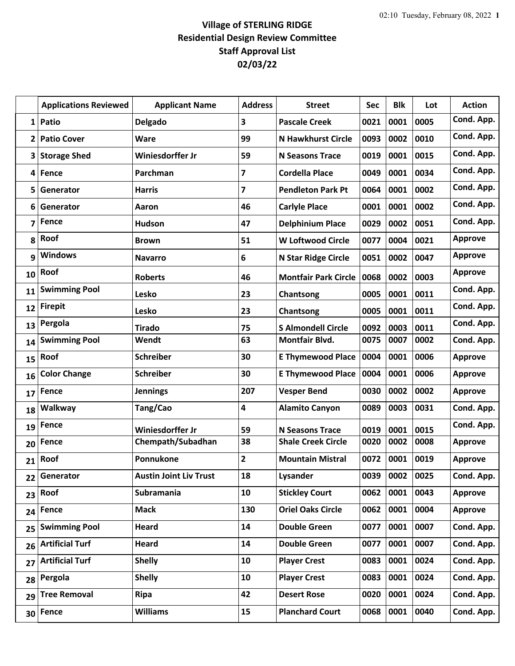## **Village of STERLING RIDGE Residential Design Review Committee Staff Approval List 02/03/22**

|                         | <b>Applications Reviewed</b> | <b>Applicant Name</b>         | <b>Address</b>          | <b>Street</b>               | Sec  | <b>Blk</b> | Lot  | <b>Action</b>  |
|-------------------------|------------------------------|-------------------------------|-------------------------|-----------------------------|------|------------|------|----------------|
| $1\vert$                | Patio                        | Delgado                       | 3                       | <b>Pascale Creek</b>        | 0021 | 0001       | 0005 | Cond. App.     |
| 2                       | <b>Patio Cover</b>           | Ware                          | 99                      | <b>N Hawkhurst Circle</b>   | 0093 | 0002       | 0010 | Cond. App.     |
| 3                       | <b>Storage Shed</b>          | Winiesdorffer Jr              | 59                      | <b>N Seasons Trace</b>      | 0019 | 0001       | 0015 | Cond. App.     |
| 4                       | Fence                        | Parchman                      | $\overline{\mathbf{z}}$ | <b>Cordella Place</b>       | 0049 | 0001       | 0034 | Cond. App.     |
| 5                       | Generator                    | <b>Harris</b>                 | $\overline{\mathbf{z}}$ | <b>Pendleton Park Pt</b>    | 0064 | 0001       | 0002 | Cond. App.     |
| 6                       | Generator                    | Aaron                         | 46                      | <b>Carlyle Place</b>        | 0001 | 0001       | 0002 | Cond. App.     |
| $\overline{\mathbf{z}}$ | Fence                        | Hudson                        | 47                      | <b>Delphinium Place</b>     | 0029 | 0002       | 0051 | Cond. App.     |
| 8                       | Roof                         | <b>Brown</b>                  | 51                      | <b>W Loftwood Circle</b>    | 0077 | 0004       | 0021 | <b>Approve</b> |
| 9                       | <b>Windows</b>               | <b>Navarro</b>                | 6                       | <b>N Star Ridge Circle</b>  | 0051 | 0002       | 0047 | <b>Approve</b> |
| 10                      | Roof                         | <b>Roberts</b>                | 46                      | <b>Montfair Park Circle</b> | 0068 | 0002       | 0003 | <b>Approve</b> |
| 11                      | <b>Swimming Pool</b>         | Lesko                         | 23                      | Chantsong                   | 0005 | 0001       | 0011 | Cond. App.     |
| 12                      | <b>Firepit</b>               | Lesko                         | 23                      | Chantsong                   | 0005 | 0001       | 0011 | Cond. App.     |
| 13                      | Pergola                      | <b>Tirado</b>                 | 75                      | <b>S Almondell Circle</b>   | 0092 | 0003       | 0011 | Cond. App.     |
| 14                      | <b>Swimming Pool</b>         | Wendt                         | 63                      | Montfair Blvd.              | 0075 | 0007       | 0002 | Cond. App.     |
| 15                      | Roof                         | <b>Schreiber</b>              | 30                      | <b>E Thymewood Place</b>    | 0004 | 0001       | 0006 | <b>Approve</b> |
| 16                      | <b>Color Change</b>          | <b>Schreiber</b>              | 30                      | <b>E Thymewood Place</b>    | 0004 | 0001       | 0006 | <b>Approve</b> |
| 17                      | Fence                        | <b>Jennings</b>               | 207                     | <b>Vesper Bend</b>          | 0030 | 0002       | 0002 | <b>Approve</b> |
| 18                      | Walkway                      | Tang/Cao                      | $\overline{\mathbf{4}}$ | <b>Alamito Canyon</b>       | 0089 | 0003       | 0031 | Cond. App.     |
| 19                      | Fence                        | Winiesdorffer Jr              | 59                      | <b>N Seasons Trace</b>      | 0019 | 0001       | 0015 | Cond. App.     |
| 20                      | <b>Fence</b>                 | Chempath/Subadhan             | 38                      | <b>Shale Creek Circle</b>   | 0020 | 0002       | 0008 | <b>Approve</b> |
| 21                      | Roof                         | Ponnukone                     | $\overline{2}$          | <b>Mountain Mistral</b>     | 0072 | 0001       | 0019 | <b>Approve</b> |
| 22                      | Generator                    | <b>Austin Joint Liv Trust</b> | 18                      | <b>Lysander</b>             | 0039 | 0002       | 0025 | Cond. App.     |
| 23                      | Roof                         | Subramania                    | 10                      | <b>Stickley Court</b>       | 0062 | 0001       | 0043 | <b>Approve</b> |
| 24                      | <b>Fence</b>                 | <b>Mack</b>                   | 130                     | <b>Oriel Oaks Circle</b>    | 0062 | 0001       | 0004 | <b>Approve</b> |
| 25                      | <b>Swimming Pool</b>         | <b>Heard</b>                  | 14                      | <b>Double Green</b>         | 0077 | 0001       | 0007 | Cond. App.     |
| 26                      | <b>Artificial Turf</b>       | <b>Heard</b>                  | 14                      | <b>Double Green</b>         | 0077 | 0001       | 0007 | Cond. App.     |
| 27                      | <b>Artificial Turf</b>       | <b>Shelly</b>                 | 10                      | <b>Player Crest</b>         | 0083 | 0001       | 0024 | Cond. App.     |
| 28                      | Pergola                      | <b>Shelly</b>                 | 10                      | <b>Player Crest</b>         | 0083 | 0001       | 0024 | Cond. App.     |
| 29                      | <b>Tree Removal</b>          | <b>Ripa</b>                   | 42                      | <b>Desert Rose</b>          | 0020 | 0001       | 0024 | Cond. App.     |
| 30 <sup>1</sup>         | Fence                        | <b>Williams</b>               | 15                      | <b>Planchard Court</b>      | 0068 | 0001       | 0040 | Cond. App.     |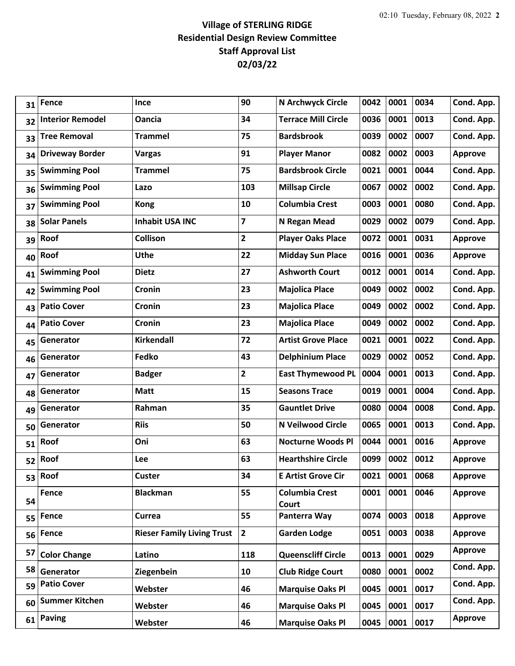## **Village of STERLING RIDGE Residential Design Review Committee Staff Approval List 02/03/22**

| 31 | <b>Fence</b>            | Ince                              | 90                      | N Archwyck Circle              | 0042 | 0001 | 0034 | Cond. App.     |
|----|-------------------------|-----------------------------------|-------------------------|--------------------------------|------|------|------|----------------|
| 32 | <b>Interior Remodel</b> | <b>Oancia</b>                     | 34                      | <b>Terrace Mill Circle</b>     | 0036 | 0001 | 0013 | Cond. App.     |
| 33 | <b>Tree Removal</b>     | <b>Trammel</b>                    | 75                      | <b>Bardsbrook</b>              | 0039 | 0002 | 0007 | Cond. App.     |
| 34 | <b>Driveway Border</b>  | <b>Vargas</b>                     | 91                      | <b>Player Manor</b>            | 0082 | 0002 | 0003 | <b>Approve</b> |
| 35 | <b>Swimming Pool</b>    | <b>Trammel</b>                    | 75                      | <b>Bardsbrook Circle</b>       | 0021 | 0001 | 0044 | Cond. App.     |
| 36 | <b>Swimming Pool</b>    | Lazo                              | 103                     | <b>Millsap Circle</b>          | 0067 | 0002 | 0002 | Cond. App.     |
| 37 | <b>Swimming Pool</b>    | <b>Kong</b>                       | 10                      | <b>Columbia Crest</b>          | 0003 | 0001 | 0080 | Cond. App.     |
| 38 | <b>Solar Panels</b>     | <b>Inhabit USA INC</b>            | $\overline{\mathbf{z}}$ | N Regan Mead                   | 0029 | 0002 | 0079 | Cond. App.     |
| 39 | Roof                    | <b>Collison</b>                   | $\overline{2}$          | <b>Player Oaks Place</b>       | 0072 | 0001 | 0031 | <b>Approve</b> |
| 40 | Roof                    | <b>Uthe</b>                       | 22                      | <b>Midday Sun Place</b>        | 0016 | 0001 | 0036 | <b>Approve</b> |
| 41 | <b>Swimming Pool</b>    | <b>Dietz</b>                      | 27                      | <b>Ashworth Court</b>          | 0012 | 0001 | 0014 | Cond. App.     |
| 42 | <b>Swimming Pool</b>    | Cronin                            | 23                      | <b>Majolica Place</b>          | 0049 | 0002 | 0002 | Cond. App.     |
| 43 | <b>Patio Cover</b>      | Cronin                            | 23                      | <b>Majolica Place</b>          | 0049 | 0002 | 0002 | Cond. App.     |
| 44 | <b>Patio Cover</b>      | Cronin                            | 23                      | <b>Majolica Place</b>          | 0049 | 0002 | 0002 | Cond. App.     |
| 45 | Generator               | Kirkendall                        | 72                      | <b>Artist Grove Place</b>      | 0021 | 0001 | 0022 | Cond. App.     |
| 46 | Generator               | Fedko                             | 43                      | <b>Delphinium Place</b>        | 0029 | 0002 | 0052 | Cond. App.     |
| 47 | Generator               | <b>Badger</b>                     | $\overline{2}$          | <b>East Thymewood PL</b>       | 0004 | 0001 | 0013 | Cond. App.     |
| 48 | Generator               | <b>Matt</b>                       | 15                      | <b>Seasons Trace</b>           | 0019 | 0001 | 0004 | Cond. App.     |
| 49 | Generator               | Rahman                            | 35                      | <b>Gauntlet Drive</b>          | 0080 | 0004 | 0008 | Cond. App.     |
| 50 | Generator               | <b>Riis</b>                       | 50                      | N Veilwood Circle              | 0065 | 0001 | 0013 | Cond. App.     |
| 51 | Roof                    | Oni                               | 63                      | <b>Nocturne Woods Pl</b>       | 0044 | 0001 | 0016 | <b>Approve</b> |
| 52 | Roof                    | <b>Lee</b>                        | 63                      | <b>Hearthshire Circle</b>      | 0099 | 0002 | 0012 | <b>Approve</b> |
|    | 53 Roof                 | Custer                            | 34                      | <b>E Artist Grove Cir</b>      | 0021 | 0001 | 0068 | <b>Approve</b> |
| 54 | Fence                   | <b>Blackman</b>                   | 55                      | <b>Columbia Crest</b><br>Court | 0001 | 0001 | 0046 | <b>Approve</b> |
| 55 | Fence                   | Currea                            | 55                      | Panterra Way                   | 0074 | 0003 | 0018 | <b>Approve</b> |
| 56 | Fence                   | <b>Rieser Family Living Trust</b> | $\overline{2}$          | <b>Garden Lodge</b>            | 0051 | 0003 | 0038 | <b>Approve</b> |
| 57 | <b>Color Change</b>     | Latino                            | 118                     | <b>Queenscliff Circle</b>      | 0013 | 0001 | 0029 | <b>Approve</b> |
| 58 | Generator               | Ziegenbein                        | 10                      | <b>Club Ridge Court</b>        | 0080 | 0001 | 0002 | Cond. App.     |
| 59 | <b>Patio Cover</b>      | Webster                           | 46                      | <b>Marquise Oaks Pl</b>        | 0045 | 0001 | 0017 | Cond. App.     |
| 60 | <b>Summer Kitchen</b>   | Webster                           | 46                      | <b>Marquise Oaks Pl</b>        | 0045 | 0001 | 0017 | Cond. App.     |
| 61 | <b>Paving</b>           | Webster                           | 46                      | <b>Marquise Oaks Pl</b>        | 0045 | 0001 | 0017 | <b>Approve</b> |